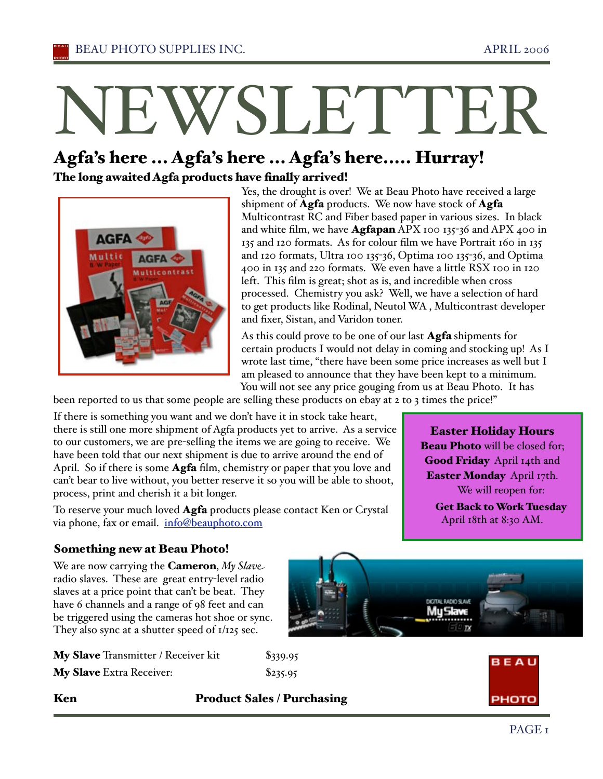# NEWSLETTER

# Agfa's here ... Agfa's here ... Agfa's here..... Hurray! The long awaited Agfa products have finally arrived!



Yes, the drought is over! We at Beau Photo have received a large shipment of  $\textbf{Agfa}$  products. We now have stock of  $\textbf{Agfa}$ Multicontrast RC and Fiber based paper in various sizes. In black and white film, we have **Agfapan** APX 100 135-36 and APX 400 in 135 and 120 formats. As for colour film we have Portrait 160 in 135 and 120 formats, Ultra 100 135-36, Optima 100 135-36, and Optima 400 in 135 and 220 formats. We even have a little RSX 100 in 120 left. This film is great; shot as is, and incredible when cross processed. Chemistry you ask? Well, we have a selection of hard to get products like Rodinal, Neutol WA , Multicontrast developer and fixer, Sistan, and Varidon toner.

As this could prove to be one of our last **Agfa** shipments for certain products I would not delay in coming and stocking up! As I wrote last time, "there have been some price increases as well but I am pleased to announce that they have been kept to a minimum. You will not see any price gouging from us at Beau Photo. It has

been reported to us that some people are selling these products on ebay at 2 to 3 times the price!"

If there is something you want and we don't have it in stock take heart, there is still one more shipment of Agfa products yet to arrive. As a service to our customers, we are pre-selling the items we are going to receive. We have been told that our next shipment is due to arrive around the end of April. So if there is some **Agfa** film, chemistry or paper that you love and can't bear to live without, you better reserve it so you will be able to shoot, process, print and cherish it a bit longer.

To reserve your much loved **Agfa** products please contact Ken or Crystal via phone, fax or email. info@beauphoto.com

Easter Holiday Hours **Beau Photo** will be closed for; Good Friday April 14th and Easter Monday April 17th. We will reopen for:

Get Back to Work Tuesday April 18th at 8:30 AM.

# Something new at Beau Photo!

We are now carrying the **Cameron**, *My Slave* radio slaves. These are great entry-level radio slaves at a price point that can't be beat. They have 6 channels and a range of 98 feet and can be triggered using the cameras hot shoe or sync. They also sync at a shutter speed of 1/125 sec.

| My Slave Transmitter / Receiver kit | $\$339.95$ |
|-------------------------------------|------------|
| My Slave Extra Receiver:            | \$235.95   |





# Ken Product Sales / Purchasing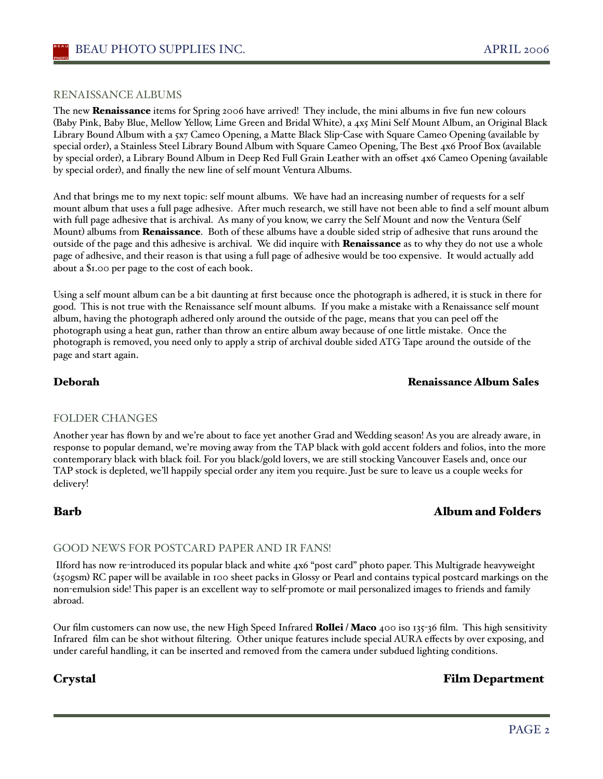### RENAISSANCE ALBUMS

The new **Renaissance** items for Spring 2006 have arrived! They include, the mini albums in five fun new colours (Baby Pink, Baby Blue, Mellow Yellow, Lime Green and Bridal White), a 4x5 Mini Self Mount Album, an Original Black Library Bound Album with a 5x7 Cameo Opening, a Matte Black Slip-Case with Square Cameo Opening (available by special order), a Stainless Steel Library Bound Album with Square Cameo Opening, The Best 4x6 Proof Box (available by special order), a Library Bound Album in Deep Red Full Grain Leather with an offset 4x6 Cameo Opening (available by special order), and finally the new line of self mount Ventura Albums.

And that brings me to my next topic: self mount albums. We have had an increasing number of requests for a self mount album that uses a full page adhesive. After much research, we still have not been able to find a self mount album with full page adhesive that is archival. As many of you know, we carry the Self Mount and now the Ventura (Self Mount) albums from Renaissance. Both of these albums have a double sided strip of adhesive that runs around the outside of the page and this adhesive is archival. We did inquire with **Renaissance** as to why they do not use a whole page of adhesive, and their reason is that using a full page of adhesive would be too expensive. It would actually add about a \$1.00 per page to the cost of each book.

Using a self mount album can be a bit daunting at first because once the photograph is adhered, it is stuck in there for good. This is not true with the Renaissance self mount albums. If you make a mistake with a Renaissance self mount album, having the photograph adhered only around the outside of the page, means that you can peel off the photograph using a heat gun, rather than throw an entire album away because of one little mistake. Once the photograph is removed, you need only to apply a strip of archival double sided ATG Tape around the outside of the page and start again.

### Deborah Renaissance Album Sales

### FOLDER CHANGES

Another year has flown by and we're about to face yet another Grad and Wedding season! As you are already aware, in response to popular demand, we're moving away from the TAP black with gold accent folders and folios, into the more contemporary black with black foil. For you black/gold lovers, we are still stocking Vancouver Easels and, once our TAP stock is depleted, we'll happily special order any item you require. Just be sure to leave us a couple weeks for delivery!

# Barb Album and Folders

### GOOD NEWS FOR POSTCARD PAPER AND IR FANS!

 Ilford has now re-introduced its popular black and white 4x6 "post card" photo paper. This Multigrade heavyweight (250gsm) RC paper will be available in 100 sheet packs in Glossy or Pearl and contains typical postcard markings on the non-emulsion side! This paper is an excellent way to self-promote or mail personalized images to friends and family abroad.

Our film customers can now use, the new High Speed Infrared Rollei / Maco 400 iso 135-36 film. This high sensitivity Infrared film can be shot without filtering. Other unique features include special AURA effects by over exposing, and under careful handling, it can be inserted and removed from the camera under subdued lighting conditions.

# Crystal Film Department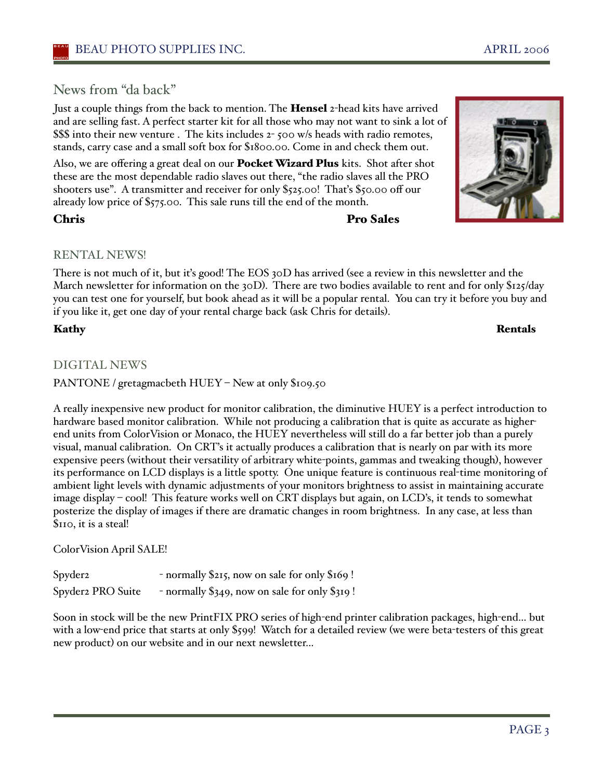# News from "da back"

Just a couple things from the back to mention. The Hensel 2-head kits have arrived and are selling fast. A perfect starter kit for all those who may not want to sink a lot of \$\$\$ into their new venture . The kits includes 2- 500 w/s heads with radio remotes, stands, carry case and a small soft box for \$1800.00. Come in and check them out.

Also, we are offering a great deal on our **Pocket Wizard Plus** kits. Shot after shot these are the most dependable radio slaves out there, "the radio slaves all the PRO shooters use". A transmitter and receiver for only \$525.00! Thaťs \$50.00 off our already low price of \$575.00. This sale runs till the end of the month.

# Chris Pro Sales

# RENTAL NEWS!

There is not much of it, but iťs good! The EOS 30D has arrived (see a review in this newsletter and the March newsletter for information on the 30D). There are two bodies available to rent and for only \$125/day you can test one for yourself, but book ahead as it will be a popular rental. You can try it before you buy and if you like it, get one day of your rental charge back (ask Chris for details).

# DIGITAL NEWS

PANTONE / gretagmacbeth HUEY - New at only \$109.50

A really inexpensive new product for monitor calibration, the diminutive HUEY is a perfect introduction to hardware based monitor calibration. While not producing a calibration that is quite as accurate as higherend units from ColorVision or Monaco, the HUEY nevertheless will still do a far better job than a purely visual, manual calibration. On CRT's it actually produces a calibration that is nearly on par with its more expensive peers (without their versatility of arbitrary white-points, gammas and tweaking though), however its performance on LCD displays is a little spotty. One unique feature is continuous real-time monitoring of ambient light levels with dynamic adjustments of your monitors brightness to assist in maintaining accurate image display – cool! This feature works well on CRT displays but again, on LCD's, it tends to somewhat posterize the display of images if there are dramatic changes in room brightness. In any case, at less than \$110, it is a steal!

ColorVision April SALE!

Spyder2 - normally \$215, now on sale for only \$169! Spyder2 PRO Suite - normally \$349, now on sale for only \$319!

Soon in stock will be the new PrintFIX PRO series of high-end printer calibration packages, high-end… but with a low-end price that starts at only \$599! Watch for a detailed review (we were beta-testers of this great new product) on our website and in our next newsletter…



Kathy Rentals